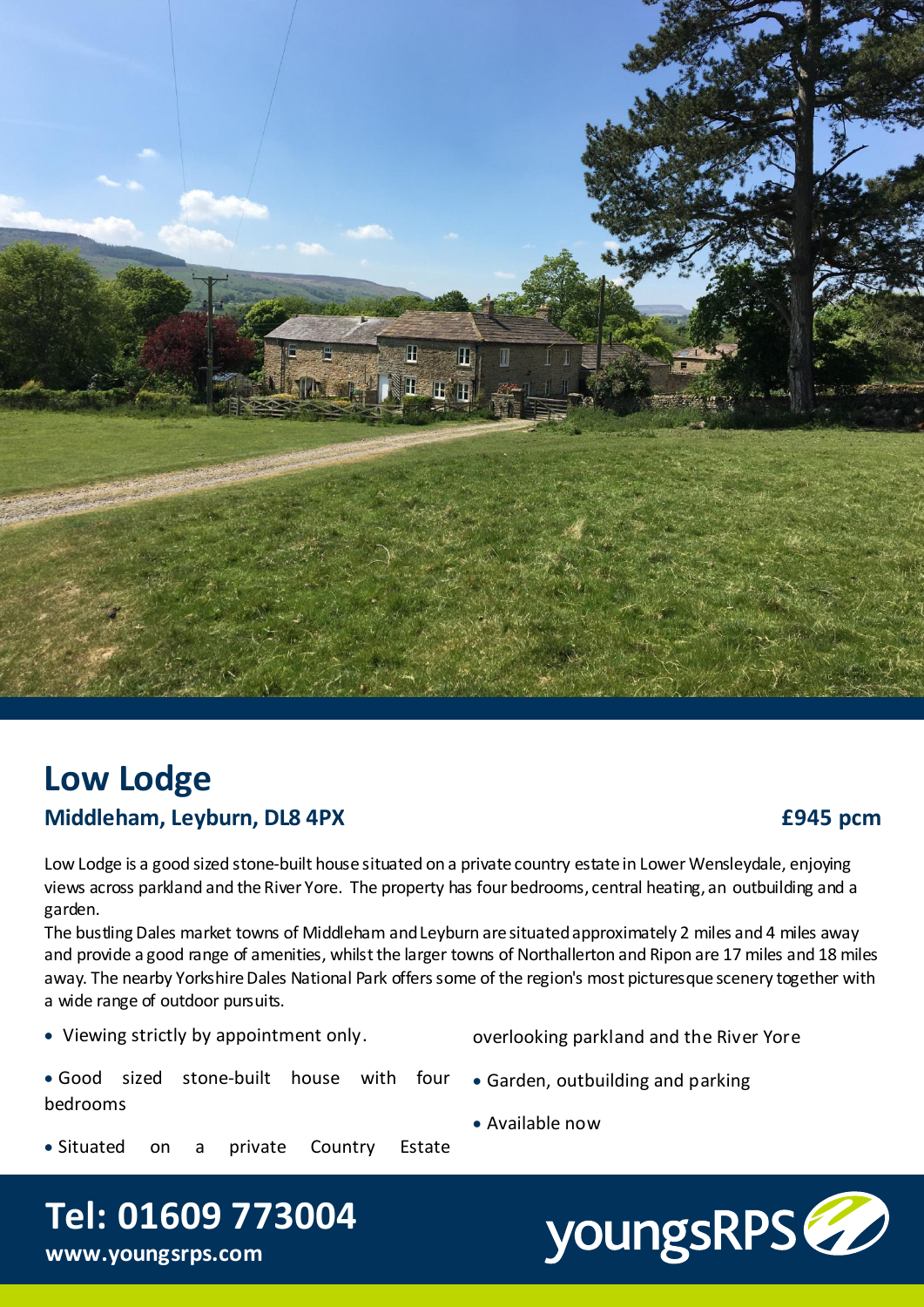

# **Low Lodge Middleham, Leyburn, DL8 4PX**

# **£945 pcm**

Low Lodge is a good sized stone-built house situated on a private country estate in Lower Wensleydale, enjoying views across parkland and the River Yore. The property has four bedrooms, central heating, an outbuilding and a garden.

The bustling Dales market towns of Middleham and Leyburn are situated approximately 2 miles and 4 miles away and provide a good range of amenities, whilst the larger towns of Northallerton and Ripon are 17 miles and 18 miles away. The nearby Yorkshire Dales National Park offers some of the region's most picturesque scenery together with a wide range of outdoor pursuits.

Viewing strictly by appointment only.

**Tel: 01609 773004**

overlooking parkland and the River Yore

Garden, outbuilding and parking

 Good sized stone-built house with four bedrooms

- Situated on a private Country Estate
- Available now



**www.youngsrps.com**